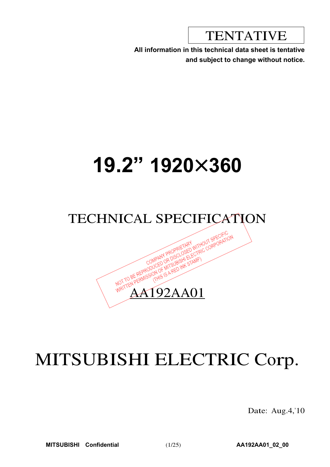TENTATIVE

**All information in this technical data sheet is tentative and subject to change without notice.**

# **19.2" 1920**u**360**

## TECHNICAL SPECIFICATION



# MITSUBISHI ELECTRIC Corp.

Date: Aug.4,'10

**MITSUBISHI Confidential** (1/25) **AA192AA01\_02\_00**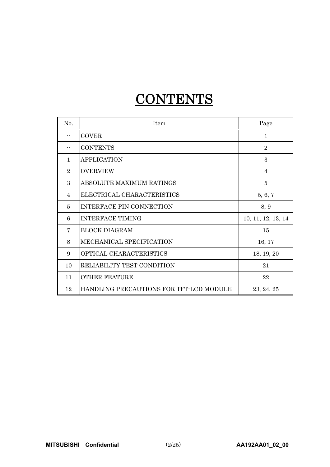## **CONTENTS**

| No.            | Item                                    | Page               |
|----------------|-----------------------------------------|--------------------|
|                | <b>COVER</b>                            | $\mathbf{1}$       |
|                | <b>CONTENTS</b>                         | $\overline{2}$     |
| $\mathbf{1}$   | <b>APPLICATION</b>                      | 3                  |
| $\overline{2}$ | <b>OVERVIEW</b>                         | $\overline{4}$     |
| 3              | ABSOLUTE MAXIMUM RATINGS                | 5                  |
| $\overline{4}$ | ELECTRICAL CHARACTERISTICS              | 5, 6, 7            |
| 5              | <b>INTERFACE PIN CONNECTION</b>         | 8, 9               |
| 6              | <b>INTERFACE TIMING</b>                 | 10, 11, 12, 13, 14 |
| 7              | <b>BLOCK DIAGRAM</b>                    | 15                 |
| 8              | MECHANICAL SPECIFICATION                | 16, 17             |
| 9              | OPTICAL CHARACTERISTICS                 | 18, 19, 20         |
| 10             | RELIABILITY TEST CONDITION              | 21                 |
| 11             | <b>OTHER FEATURE</b>                    | 22                 |
| 12             | HANDLING PRECAUTIONS FOR TFT-LCD MODULE | 23, 24, 25         |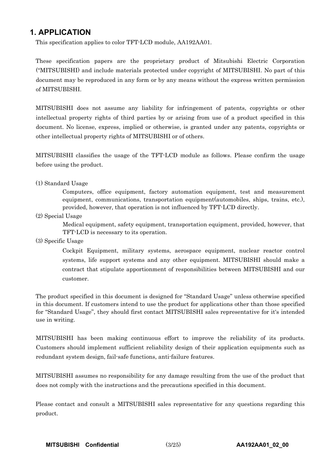## **1. APPLICATION**

This specification applies to color TFT-LCD module, AA192AA01.

These specification papers are the proprietary product of Mitsubishi Electric Corporation ("MITSUBISHI) and include materials protected under copyright of MITSUBISHI. No part of this document may be reproduced in any form or by any means without the express written permission of MITSUBISHI.

MITSUBISHI does not assume any liability for infringement of patents, copyrights or other intellectual property rights of third parties by or arising from use of a product specified in this document. No license, express, implied or otherwise, is granted under any patents, copyrights or other intellectual property rights of MITSUBISHI or of others.

MITSUBISHI classifies the usage of the TFT-LCD module as follows. Please confirm the usage before using the product.

## (1) Standard Usage

Computers, office equipment, factory automation equipment, test and measurement equipment, communications, transportation equipment(automobiles, ships, trains, etc.), provided, however, that operation is not influenced by TFT-LCD directly.

(2) Special Usage

Medical equipment, safety equipment, transportation equipment, provided, however, that TFT-LCD is necessary to its operation.

(3) Specific Usage

Cockpit Equipment, military systems, aerospace equipment, nuclear reactor control systems, life support systems and any other equipment. MITSUBISHI should make a contract that stipulate apportionment of responsibilities between MITSUBISHI and our customer.

The product specified in this document is designed for "Standard Usage" unless otherwise specified in this document. If customers intend to use the product for applications other than those specified for "Standard Usage", they should first contact MITSUBISHI sales representative for it's intended use in writing.

MITSUBISHI has been making continuous effort to improve the reliability of its products. Customers should implement sufficient reliability design of their application equipments such as redundant system design, fail-safe functions, anti-failure features.

MITSUBISHI assumes no responsibility for any damage resulting from the use of the product that does not comply with the instructions and the precautions specified in this document.

Please contact and consult a MITSUBISHI sales representative for any questions regarding this product.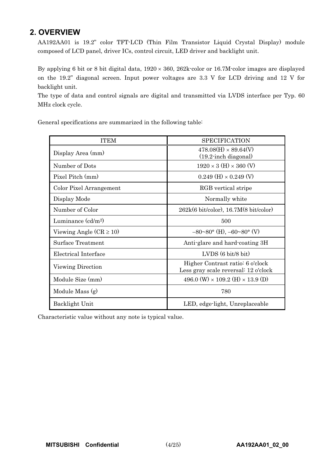## **2. OVERVIEW**

AA192AA01 is 19.2" color TFT-LCD (Thin Film Transistor Liquid Crystal Display) module composed of LCD panel, driver ICs, control circuit, LED driver and backlight unit.

By applying 6 bit or 8 bit digital data,  $1920 \times 360$ ,  $262k$ -color or 16.7M-color images are displayed on the 19.2" diagonal screen. Input power voltages are 3.3 V for LCD driving and 12 V for backlight unit.

The type of data and control signals are digital and transmitted via LVDS interface per Typ. 60 MHz clock cycle.

General specifications are summarized in the following table:

| <b>ITEM</b>                 | <b>SPECIFICATION</b>                                                     |
|-----------------------------|--------------------------------------------------------------------------|
| Display Area (mm)           | $478.08(H) \times 89.64(V)$<br>$(19.2 \cdot \text{inch diagonal})$       |
| Number of Dots              | $1920 \times 3$ (H) $\times 360$ (V)                                     |
| Pixel Pitch (mm)            | $0.249$ (H) $\times$ 0.249 (V)                                           |
| Color Pixel Arrangement     | RGB vertical stripe                                                      |
| Display Mode                | Normally white                                                           |
| Number of Color             | 262k(6 bit/color), 16.7M(8 bit/color)                                    |
| Luminance $\text{(cd/m2)}$  | 500                                                                      |
| Viewing Angle $(CR \ge 10)$ | $-80^{\circ}80^{\circ}$ (H), $-60^{\circ}80^{\circ}$ (V)                 |
| <b>Surface Treatment</b>    | Anti-glare and hard-coating 3H                                           |
| Electrical Interface        | $LVDS(6 \text{ bit}/8 \text{ bit})$                                      |
| Viewing Direction           | Higher Contrast ratio: 6 o'clock<br>Less gray scale reversal: 12 o'clock |
| Module Size (mm)            | 496.0 (W) $\times$ 109.2 (H) $\times$ 13.9 (D)                           |
| Module Mass (g)             | 780                                                                      |
| Backlight Unit              | LED, edge-light, Unreplaceable                                           |

Characteristic value without any note is typical value.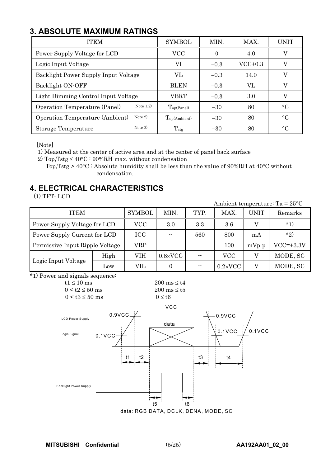## **3. ABSOLUTE MAXIMUM RATINGS**

| <b>ITEM</b>                                         | <b>SYMBOL</b>     | MIN.     | MAX.      | UNIT        |
|-----------------------------------------------------|-------------------|----------|-----------|-------------|
| Power Supply Voltage for LCD                        | VCC               | $\Omega$ | 4.0       | V           |
| Logic Input Voltage                                 | VI                | $-0.3$   | $VCC+0.3$ | V           |
| Backlight Power Supply Input Voltage                | VL.               | $-0.3$   | 14.0      | V           |
| Backlight ON-OFF                                    | <b>BLEN</b>       | $-0.3$   | VL        | V           |
| Light Dimming Control Input Voltage                 | VBRT              | $-0.3$   | 3.0       | V           |
| Note $1,2)$<br>Operation Temperature (Panel)        | $T_{op(Panel)}$   | $-30$    | 80        | $^{\circ}C$ |
| Note $2)$<br><b>Operation Temperature (Ambient)</b> | $T_{op(Ambient)}$ | $-30$    | 80        | $^{\circ}C$ |
| Note $2)$<br>Storage Temperature                    | $T_{\rm stg}$     | $-30$    | 80        | $\circ$ C   |

[Note]

1) Measured at the center of active area and at the center of panel back surface

2) Top, Tstg  $\leq 40^{\circ}\text{C}$  : 90%RH max. without condensation

Top, Tstg >  $40^{\circ}\text{C}$ : Absolute humidity shall be less than the value of 90%RH at 40°C without condensation.

## **4. ELECTRICAL CHARACTERISTICS**

 $(1)$  TFT $\cdot$  LCD



data: RGB DATA, DCLK, DENA, MODE, SC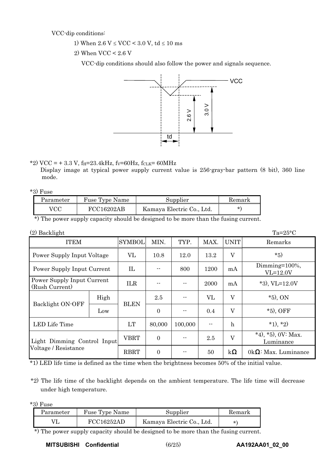VCC-dip conditions:

1) When  $2.6 \text{ V} \leq \text{VCC} \leq 3.0 \text{ V}$ , td  $\leq 10 \text{ ms}$ 

2) When VCC < 2.6 V

VCC-dip conditions should also follow the power and signals sequence.



\*2) VCC = + 3.3 V, f<sub>H</sub>=23.4kHz, fv=60Hz, fcLK= 60MHz

Display image at typical power supply current value is 256-gray-bar pattern (8 bit), 360 line mode.

\*3) Fuse

| Parameter | Fuse Type Name | Supplier                  | Remark  |
|-----------|----------------|---------------------------|---------|
| VCC       | FCC16202AB     | Kamaya Electric Co., Ltd. | $\star$ |

\*) The power supply capacity should be designed to be more than the fusing current.

| $(2)$ Backlight                              |      |               |          |         |      |             | $Ta=25^{\circ}C$                   |
|----------------------------------------------|------|---------------|----------|---------|------|-------------|------------------------------------|
| <b>ITEM</b>                                  |      | <b>SYMBOL</b> | MIN.     | TYP.    | MAX. | <b>UNIT</b> | Remarks                            |
| Power Supply Input Voltage                   |      | VL            | 10.8     | 12.0    | 13.2 | $\rm V$     | $*5)$                              |
| Power Supply Input Current                   |      | $_{\rm IL}$   |          | 800     | 1200 | mA          | Dimming= $100\%$ ,<br>$VL=12.0V$   |
| Power Supply Input Current<br>(Rush Current) |      | <b>ILR</b>    |          | --      | 2000 | mA          | $*3$ , VL=12.0V                    |
|                                              | High |               | 2.5      | --      | VL   | $\rm V$     | $*5$ , ON                          |
| Backlight ON-OFF                             | Low  | <b>BLEN</b>   | $\Omega$ |         | 0.4  | $\rm V$     | $*5$ ), OFF                        |
| LED Life Time                                |      | LT            | 80,000   | 100,000 |      | $\mathbf h$ | $*1, *2)$                          |
| Light Dimming Control Input                  |      | VBRT          | $\Omega$ |         | 2.5  | V           | *4), *5), $0V: Max$ .<br>Luminance |
| Voltage / Resistance                         |      | <b>RBRT</b>   | $\Omega$ | --      | 50   | $k\Omega$   | $0k\Omega$ : Max. Luminance        |

\*1) LED life time is defined as the time when the brightness becomes 50% of the initial value.

\*2) The life time of the backlight depends on the ambient temperature. The life time will decrease under high temperature.

\*3) Fuse

| Parameter | Fuse Type Name | Supplier                  | Kemark   |
|-----------|----------------|---------------------------|----------|
|           | FCC16252AD     | Kamaya Electric Co., Ltd. | $^\star$ |

\*) The power supply capacity should be designed to be more than the fusing current.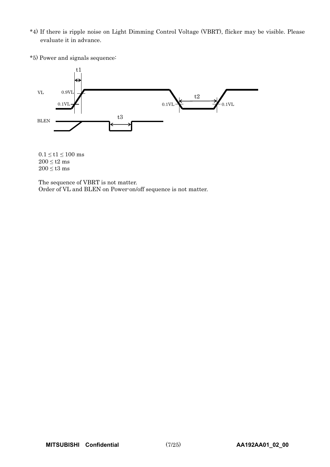- \*4) If there is ripple noise on Light Dimming Control Voltage (VBRT), flicker may be visible. Please evaluate it in advance.
- \*5) Power and signals sequence:



 $0.1 \leq t1 \leq 100~\mathrm{ms}$  $200 \leq t2$  ms  $200 \leq t3$  ms

The sequence of VBRT is not matter. Order of VL and BLEN on Power-on/off sequence is not matter.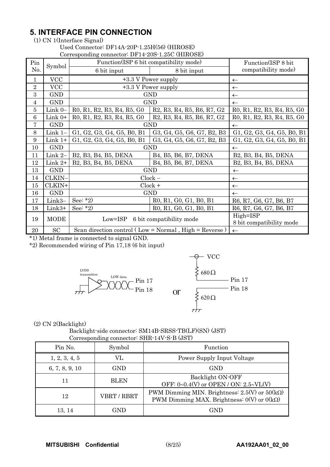## **5. INTERFACE PIN CONNECTION**

(1) CN 1(Interface Signal)

Used Connector: DF14A-20P-1.25H(56) (HIROSE) Corresponding connector: DF14-20S-1.25C (HIROSE)

|                 |             | Corresponding connector. Dr 14-205-1.25C (11INOSE)                                                                   |                                                                                                                      |                            |  |  |  |  |  |  |
|-----------------|-------------|----------------------------------------------------------------------------------------------------------------------|----------------------------------------------------------------------------------------------------------------------|----------------------------|--|--|--|--|--|--|
| Pin             | Symbol      | Function(ISP 6 bit compatibility mode)                                                                               |                                                                                                                      | Function(ISP 8 bit)        |  |  |  |  |  |  |
| No.             |             | 6 bit input                                                                                                          | 8 bit input                                                                                                          | compatibility mode)        |  |  |  |  |  |  |
| $\mathbf{1}$    | <b>VCC</b>  |                                                                                                                      | +3.3 V Power supply                                                                                                  | $\leftarrow$               |  |  |  |  |  |  |
| $\overline{2}$  | <b>VCC</b>  |                                                                                                                      | +3.3 V Power supply                                                                                                  | $\leftarrow$               |  |  |  |  |  |  |
| 3               | <b>GND</b>  |                                                                                                                      | GND                                                                                                                  | $\leftarrow$               |  |  |  |  |  |  |
| $\overline{4}$  | <b>GND</b>  | GND                                                                                                                  | $\leftarrow$                                                                                                         |                            |  |  |  |  |  |  |
| $\overline{5}$  | Link $0-$   | R <sub>0</sub> , R <sub>1</sub> , R <sub>2</sub> , R <sub>3</sub> , R <sub>4</sub> , R <sub>5</sub> , G <sub>0</sub> | R <sub>2</sub> , R <sub>3</sub> , R <sub>4</sub> , R <sub>5</sub> , R <sub>6</sub> , R <sub>7</sub> , G <sub>2</sub> | R0, R1, R2, R3, R4, R5, G0 |  |  |  |  |  |  |
| $6\phantom{1}6$ | Link $0+$   | R0, R1, R2, R3, R4, R5, G0                                                                                           | R <sub>2</sub> , R <sub>3</sub> , R <sub>4</sub> , R <sub>5</sub> , R <sub>6</sub> , R <sub>7</sub> , G <sub>2</sub> | R0, R1, R2, R3, R4, R5, G0 |  |  |  |  |  |  |
| 7               | <b>GND</b>  |                                                                                                                      | <b>GND</b>                                                                                                           | $\leftarrow$               |  |  |  |  |  |  |
| $8\,$           | Link $1-$   | G1, G2, G3, G4, G5, B0, B1                                                                                           | G3, G4, G5, G6, G7, B2, B3                                                                                           | G1, G2, G3, G4, G5, B0, B1 |  |  |  |  |  |  |
| 9               | $Link 1+$   | G1, G2, G3, G4, G5, B0, B1                                                                                           | G3, G4, G5, G6, G7, B2, B3                                                                                           | G1, G2, G3, G4, G5, B0, B1 |  |  |  |  |  |  |
| 10              | <b>GND</b>  |                                                                                                                      | <b>GND</b>                                                                                                           | $\leftarrow$               |  |  |  |  |  |  |
| 11              | Link 2-     | B2, B3, B4, B5, DENA                                                                                                 | B <sub>4</sub> , B <sub>5</sub> , B <sub>6</sub> , B <sub>7</sub> , DENA                                             | B2, B3, B4, B5, DENA       |  |  |  |  |  |  |
| 12              | Link $2+$   | B2, B3, B4, B5, DENA                                                                                                 | B4, B5, B6, B7, DENA                                                                                                 | B2, B3, B4, B5, DENA       |  |  |  |  |  |  |
| 13              | <b>GND</b>  |                                                                                                                      | <b>GND</b>                                                                                                           | $\leftarrow$               |  |  |  |  |  |  |
| 14              | CLKIN-      |                                                                                                                      | $Clock -$                                                                                                            | $\leftarrow$               |  |  |  |  |  |  |
| 15              | CLKIN+      |                                                                                                                      | $Clock +$                                                                                                            | $\leftarrow$               |  |  |  |  |  |  |
| 16              | <b>GND</b>  |                                                                                                                      | GND                                                                                                                  | $\leftarrow$               |  |  |  |  |  |  |
| 17              | Link3-      | See: $*2)$                                                                                                           | R0, R1, G0, G1, B0, B1                                                                                               | R6, R7, G6, G7, B6, B7     |  |  |  |  |  |  |
| 18              | Link3+      | See: $*2)$                                                                                                           | R0, R1, G0, G1, B0, B1                                                                                               | R6, R7, G6, G7, B6, B7     |  |  |  |  |  |  |
| 19              | <b>MODE</b> | $Low=ISP$                                                                                                            | High=ISP                                                                                                             |                            |  |  |  |  |  |  |
|                 |             |                                                                                                                      | 6 bit compatibility mode                                                                                             | 8 bit compatibility mode   |  |  |  |  |  |  |
| 20              | SC          |                                                                                                                      | Scan direction control (Low = Normal, High = Reverse)                                                                | $\leftarrow$               |  |  |  |  |  |  |

\*1) Metal frame is connected to signal GND.

\*2) Recommended wiring of Pin 17,18 (6 bit input)





(2) CN 2(Backlight)

| Backlight-side connector: SM14B-SRSS-TB(LF)(SN) (JST) |  |
|-------------------------------------------------------|--|
| Corresponding connector: SHR-14V-S-B (JST)            |  |

| Pin No.        | Symbol      | Function                                                                                                      |
|----------------|-------------|---------------------------------------------------------------------------------------------------------------|
| 1, 2, 3, 4, 5  | VL          | Power Supply Input Voltage                                                                                    |
| 6, 7, 8, 9, 10 | GND         | <b>GND</b>                                                                                                    |
| 11             | <b>BLEN</b> | Backlight ON-OFF<br>OFF: $0 \sim 0.4$ (V) or OPEN / ON: $2.5 \sim VL$ (V)                                     |
| 12             | VBRT / RBRT | PWM Dimming MIN. Brightness: $2.5(V)$ or $50(k\Omega)$<br>PWM Dimming MAX. Brightness: $0(V)$ or $0(k\Omega)$ |
| 13.14          | GND         | GND                                                                                                           |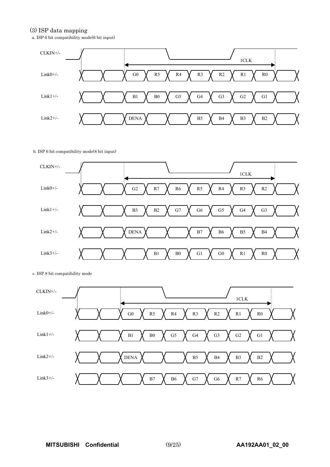#### (3) ISP data mapping

a. ISP 6 bit compatibility mode(6 bit input)



#### b. ISP 6 bit compatibility mode(8 bit input)



c. ISP 8 bit compatibility mode

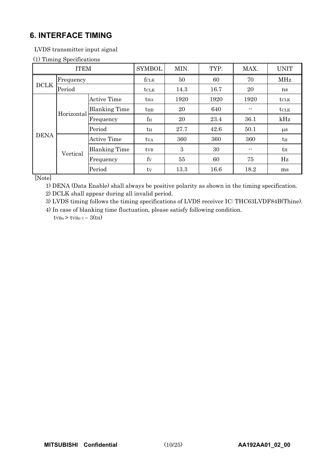## **6. INTERFACE TIMING**

LVDS transmitter input signal

## (1) Timing Specifications

|             | <b>ITEM</b> |                      | <b>SYMBOL</b>    | MIN. | TYP. | MAX.          | <b>UNIT</b>      |
|-------------|-------------|----------------------|------------------|------|------|---------------|------------------|
|             | Frequency   |                      | $f_{\rm CLK}$    | 50   | 60   | 70            | MHz              |
| <b>DCLK</b> | Period      |                      | $t_{\text{CLK}}$ | 14.3 | 16.7 | 20            | ns               |
|             |             | <b>Active Time</b>   | <b>t</b> HA      | 1920 | 1920 | 1920          | $t_{\text{CLK}}$ |
|             | Horizontal  | <b>Blanking Time</b> | $t_{HB}$         | 20   | 640  | --            | $t_{\text{CLK}}$ |
|             |             | Frequency            | $f_{\rm H}$      | 20   | 23.4 | 36.1          | kHz              |
|             |             | Period               | tн               | 27.7 | 42.6 | 50.1          | $\mu$ s          |
| <b>DENA</b> |             | <b>Active Time</b>   | tva              | 360  | 360  | 360           | $t_H$            |
|             | Vertical    | <b>Blanking Time</b> | t <sub>VB</sub>  | 3    | 30   | $\sim$ $\sim$ | $t_H$            |
|             |             | Frequency            | fy               | 55   | 60   | 75            | Hz               |
|             |             | Period               | tv               | 13.3 | 16.6 | 18.2          | ms               |

[Note]

1) DENA (Data Enable) shall always be positive polarity as shown in the timing specification.

2) DCLK shall appear during all invalid period.

3) LVDS timing follows the timing specifications of LVDS receiver IC: THC63LVDF84B(Thine).

4) In case of blanking time fluctuation, please satisfy following condition.  $t_{VBn}$  >  $t_{VBn-1}$  -  $3(t_H)$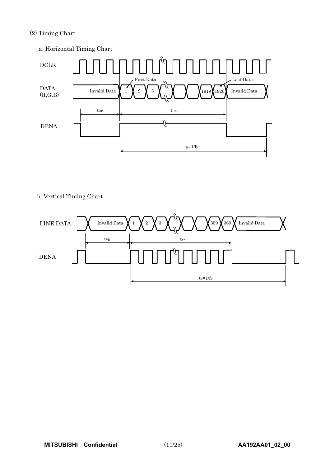## (2) Timing Chart

a. Horizontal Timing Chart



#### b. Vertical Timing Chart

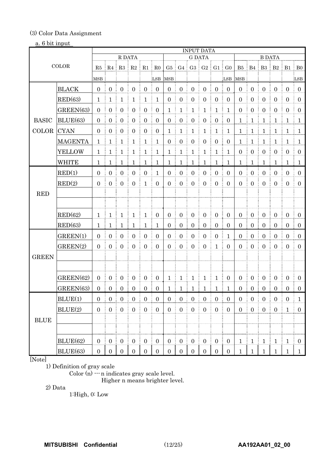## (3) Color Data Assignment

## a. 6 bit input

|                       |                |                     |                  |                                             |                    |                        |                  |                  |                       | <b>INPUT DATA</b>      |                       |                                    |                               |                  |                     |                         |                   |                  |                  |
|-----------------------|----------------|---------------------|------------------|---------------------------------------------|--------------------|------------------------|------------------|------------------|-----------------------|------------------------|-----------------------|------------------------------------|-------------------------------|------------------|---------------------|-------------------------|-------------------|------------------|------------------|
|                       |                |                     |                  | R DATA                                      |                    |                        |                  |                  |                       | <b>G DATA</b>          |                       |                                    |                               |                  |                     | <b>B DATA</b>           |                   |                  |                  |
|                       | COLOR          |                     |                  | $R5 \parallel R4 \parallel R3 \parallel R2$ |                    | R1                     | R0               |                  |                       |                        |                       |                                    | $G5$ $G4$ $G3$ $G2$ $G1$ $G0$ |                  |                     | B5 B4 B3 B2 B1 B0       |                   |                  |                  |
|                       |                | MSB                 |                  |                                             |                    |                        | LSB              | <b>MSB</b>       |                       |                        |                       |                                    | LSB                           | MSB              |                     |                         |                   |                  | LSB              |
|                       | <b>BLACK</b>   | $\overline{0}$<br>÷ | $\mathbf{0}$     | $\overline{0}$                              | $\overline{0}$     | $\overline{0}$         | $\boldsymbol{0}$ | $\overline{0}$   | $\boldsymbol{0}$      | $\mathbf{0}$           | $\boldsymbol{0}$      | $\overline{0}$                     | $\overline{0}$                | $\mathbf{0}$     | $\overline{0}$      | $\mathbf{0}$            | $\mathbf{0}$      | $\boldsymbol{0}$ | $\mathbf{0}$     |
|                       | RED(63)        | 1                   | 1                | $\mathbf{1}$                                | 1                  | $\mathbf{1}$           | $\mathbf{1}$     | $\overline{0}$   | $\boldsymbol{0}$      | $\boldsymbol{0}$       | $\boldsymbol{0}$      | $\boldsymbol{0}$                   | $\mathbf{0}$                  | $\boldsymbol{0}$ | $\boldsymbol{0}$    | $\boldsymbol{0}$        | $\boldsymbol{0}$  | $\boldsymbol{0}$ | $\mathbf{0}$     |
|                       | GREEN(63)      | $\overline{0}$      | $\boldsymbol{0}$ | $\boldsymbol{0}$                            | $\boldsymbol{0}$   | $\overline{0}$         | $\boldsymbol{0}$ | 1                | 1                     | $\mathbf 1$            | $\mathbf 1$           | $\mathbf{1}$                       | $\mathbf{1}$                  | $\mathbf{0}$     | $\boldsymbol{0}$    | $\boldsymbol{0}$        | $\overline{0}$    | $\boldsymbol{0}$ | $\overline{0}$   |
| <b>BASIC</b>          | BLUE(63)       | $\Omega$<br>÷       | $\overline{0}$   | $\boldsymbol{0}$                            | $\overline{0}$     | $\mathbf{0}$           | $\overline{0}$   | $\mathbf{0}$     | $\boldsymbol{0}$      | $\boldsymbol{0}$       | $\boldsymbol{0}$      | $\boldsymbol{0}$<br>Ē              | $\boldsymbol{0}$              | $\mathbf{1}$     | $\mathbf{1}$<br>Ē   | $\mathbf{1}$            | $\mathbf{1}$      | $\mathbf{1}$     | $\mathbf{1}$     |
| COLOR                 | <b>CYAN</b>    | $\Omega$            | $\overline{0}$   | $\mathbf{0}$                                | $\overline{0}$     | $\mathbf{0}$           | $\overline{0}$   | $\mathbf 1$      | $\mathbf{1}$          | $\mathbf{1}$           | $\mathbf{1}$          | $\mathbf{1}$                       | $\mathbf{1}$                  | $\mathbf{1}$     | $\frac{1}{2}$<br>ŧ. | $\mathbf{1}$            | $\mathbf{1}$      | $\mathbf{1}$     | 1                |
|                       | <b>MAGENTA</b> | 1                   | $\mathbf{1}$     | $\mathbf{1}$                                | $\mathbf{1}$       | $\mathbf{1}$           | $\mathbf{1}$     | $\mathbf{0}$     | $\boldsymbol{0}$      | $\boldsymbol{0}$       | $\boldsymbol{0}$      | $\boldsymbol{0}$                   | $\boldsymbol{0}$              | $\mathbf{1}$     | $\mathbf{1}$        | $\mathbf{1}$            | $\mathbf{1}$      | $\mathbf{1}$     | $\mathbf{1}$     |
|                       | <b>YELLOW</b>  | 1                   | -1               | $\mathbf{1}$                                | 1                  | $\mathbf{1}$           | $\mathbf{1}$     | $\mathbf{1}$     | $\mathbf{1}$          | $\mathbf{1}$           | $\mathbf 1$           | $\mathbf{1}$                       | $\mathbf{1}$                  | $\mathbf{0}$     | $\boldsymbol{0}$    | $\overline{0}$          | $\boldsymbol{0}$  | $\mathbf{0}$     | $\boldsymbol{0}$ |
|                       | <b>WHITE</b>   | 1                   | 1                | ŧ<br>1                                      | 1                  | 1                      | $\mathbf{1}$     | 1                | ŧ<br>1                | 1                      | 1                     | $\mathbf 1$                        | 1                             | 1                | 1                   | $\mathbf{1}$            | 1                 | 1                | $\mathbf{1}$     |
|                       | RED(1)         | $\Omega$            | $\overline{0}$   | $\overline{0}$                              | $\boldsymbol{0}$   | $\overline{0}$         | $\mathbf{1}$     | $\mathbf{0}$     | $\boldsymbol{0}$      | $\boldsymbol{0}$       | $\boldsymbol{0}$      | $\boldsymbol{0}$                   | $\overline{0}$                | $\mathbf{0}$     | $\boldsymbol{0}$    | $\boldsymbol{0}$        | $\boldsymbol{0}$  | $\mathbf{0}$     | $\overline{0}$   |
|                       | RED(2)         | $\mathbf{0}$        | $\mathbf{0}$     | $\boldsymbol{0}$                            | $\mathbf{0}$       | $\mathbf{1}$           | $\overline{0}$   | $\mathbf{0}$     | $\boldsymbol{0}$      | $\boldsymbol{0}$       | $\boldsymbol{0}$      | $\overline{0}$                     | $\overline{0}$                | $\mathbf{0}$     | $\boldsymbol{0}$    | $\overline{0}$          | $\mathbf{0}$      | $\boldsymbol{0}$ | $\overline{0}$   |
| <b>RED</b>            |                |                     |                  |                                             |                    |                        |                  |                  |                       |                        |                       |                                    |                               |                  |                     |                         |                   |                  |                  |
|                       |                |                     |                  |                                             |                    |                        |                  |                  |                       |                        |                       |                                    |                               |                  |                     |                         |                   |                  |                  |
|                       | RED(62)        | $\mathbf{1}$        | $\mathbf{1}$     | $\mathbf{1}$                                | $\mathbf{1}$<br>ŧ. | $\mathbf{1}$           | $\overline{0}$   | $\overline{0}$   | $\boldsymbol{0}$      | $\mathbf{0}$           | $\boldsymbol{0}$      | $\boldsymbol{0}$                   | $\overline{0}$                | $\mathbf{0}$     | $\overline{0}$      | $\mathbf{0}$            | $\boldsymbol{0}$  | $\overline{0}$   | $\mathbf{0}$     |
|                       | RED(63)        | 1                   | 1                | 1                                           | 1                  | 1                      | $\mathbf{1}$     | $\overline{0}$   | $\boldsymbol{0}$<br>Î | $\boldsymbol{0}$       | $\boldsymbol{0}$      | $\boldsymbol{0}$                   | $\boldsymbol{0}$              | $\overline{0}$   | $\boldsymbol{0}$    | $\overline{0}$          | $\overline{0}$    | $\mathbf{0}$     | $\mathbf{0}$     |
|                       | GREEN(1)       | $\Omega$            | $\overline{0}$   | $\mathbf{0}$                                | $\boldsymbol{0}$   | $\overline{0}$         | $\mathbf{0}$     | $\mathbf{0}$     | $\boldsymbol{0}$      | $\boldsymbol{0}$       | $\boldsymbol{0}$      | $\overline{0}$                     | 1                             | $\mathbf{0}$     | $\boldsymbol{0}$    | $\boldsymbol{0}$        | $\boldsymbol{0}$  | $\boldsymbol{0}$ | $\overline{0}$   |
|                       | GREEN(2)       | $\overline{0}$      | $\mathbf{0}$     | $\boldsymbol{0}$                            | $\boldsymbol{0}$   | $\overline{0}$         | $\overline{0}$   | $\mathbf{0}$     | $\boldsymbol{0}$      | $\boldsymbol{0}$       | $\boldsymbol{0}$      | $\mathbf{1}$                       | $\overline{0}$                | $\Omega$         | $\boldsymbol{0}$    | $\overline{0}$          | $\boldsymbol{0}$  | $\overline{0}$   | $\mathbf{0}$     |
| <b>GREEN</b>          |                |                     |                  |                                             |                    |                        |                  |                  |                       |                        |                       |                                    |                               |                  |                     |                         |                   |                  |                  |
|                       |                |                     |                  |                                             |                    |                        |                  |                  |                       |                        |                       |                                    |                               |                  |                     |                         |                   |                  |                  |
|                       | GREEN(62)      | $\overline{0}$      | $\overline{0}$   | $\overline{0}$                              | $\mathbf{0}$       | $\overline{0}$         | $\overline{0}$   | $\mathbf 1$      | $\mathbf{1}$          | $\mathbf{1}$           | $\mathbf 1$           | $\mathbf{1}$                       | $\boldsymbol{0}$              | $\mathbf{0}$     | $\overline{0}$      | $\overline{0}$          | $\overline{0}$    | $\boldsymbol{0}$ | $\overline{0}$   |
|                       | GREEN(63)      | $\mathbf{0}$        | $\mathbf{0}$     | $\overline{0}$<br>÷<br>ŧ                    | $\overline{0}$     | $\overline{0}$         | $\boldsymbol{0}$ | 1                | 1<br>÷                | $\mathbf{1}$           | $\mathbf{1}$<br>Ŧ     | $\mathbf{1}$                       | $\mathbf{1}$<br>÷             | $\boldsymbol{0}$ | $\mathbf{0}$        | $\mathbf{0}$<br>ŧ.      | $\overline{0}$    | $\boldsymbol{0}$ | $\overline{0}$   |
|                       | BLUE(1)        | $\boldsymbol{0}$    | $\boldsymbol{0}$ | $\boldsymbol{0}$                            | $\boldsymbol{0}$   | $\boldsymbol{0}$       | $\boldsymbol{0}$ | $\boldsymbol{0}$ | $\boldsymbol{0}$      | $\boldsymbol{0}$       | $\boldsymbol{0}$      | $\boldsymbol{0}$                   | $\boldsymbol{0}$              | $\boldsymbol{0}$ | $\boldsymbol{0}$    | $\boldsymbol{0}$        | $\boldsymbol{0}$  | $\boldsymbol{0}$ | $\mathbf{1}$     |
|                       | BLUE(2)        | $\boldsymbol{0}$    | $\boldsymbol{0}$ | $\boldsymbol{0}$                            | $\boldsymbol{0}$   | $\boldsymbol{0}$       | $\boldsymbol{0}$ | $\boldsymbol{0}$ | $\boldsymbol{0}$      | $\boldsymbol{0}$       | $\boldsymbol{0}$      | $\boldsymbol{0}$                   | $\boldsymbol{0}$              | $\overline{0}$   | $\boldsymbol{0}$    | $\overline{0}$          | $\boldsymbol{0}$  | $\mathbf{1}$     | $\boldsymbol{0}$ |
| $\operatorname{BLUE}$ |                |                     |                  |                                             |                    |                        |                  |                  |                       |                        |                       |                                    |                               |                  |                     |                         |                   |                  |                  |
|                       |                |                     |                  |                                             |                    |                        |                  |                  |                       |                        |                       |                                    |                               |                  |                     |                         |                   |                  |                  |
|                       | BLUE(62)       | $\boldsymbol{0}$    | $\frac{1}{2}$ 0  | $\left  0 \right $                          | $\mathbf{0}$       | $\boldsymbol{0}$<br>ŧ. | $\boldsymbol{0}$ | 0 <sup>1</sup>   | $\overline{0}$        | $\boldsymbol{0}$<br>ŧ. | $\boldsymbol{0}$<br>÷ | $\overline{0}$                     | $\mathbf{0}$                  | $\mathbf{1}$     | $\frac{1}{2}$       | $\mathbf{1}$            | $\mathbf{1}$<br>÷ | $\mathbf{1}$     | $\overline{0}$   |
|                       | BLUE(63)       |                     |                  | $0 \mid 0 \mid 0 \mid 0$                    |                    |                        |                  | 0 <sup>1</sup>   |                       | $0 \mid 0 \mid 0$      |                       | $\begin{array}{c} \n\end{array}$ 0 | $\boldsymbol{0}$              | $\mathbf{1}$     | $\mathbf{1}$        | $\downarrow$<br>÷<br>÷. | $\mathbf{1}$      | $\frac{1}{2}$    | $\mathbf{1}$     |

## [Note]

1) Definition of gray scale

Color  $(n)$   $\cdots$  n indicates gray scale level.

Higher n means brighter level.

2) Data

1:High, 0: Low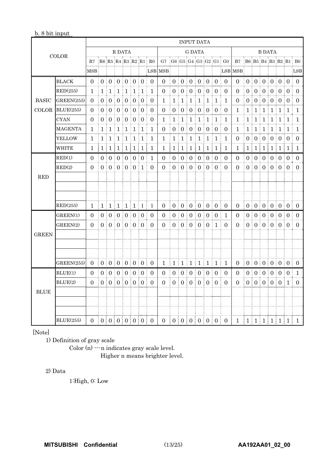#### b. 8 bit input

|              |                  |                               |              |                   |                                             |                   |              |         | <b>INPUT DATA</b>    |                               |                |              |                                        |                  |               |                 |                                         |           |                |                                        |                 |                  |                   |              |                      |
|--------------|------------------|-------------------------------|--------------|-------------------|---------------------------------------------|-------------------|--------------|---------|----------------------|-------------------------------|----------------|--------------|----------------------------------------|------------------|---------------|-----------------|-----------------------------------------|-----------|----------------|----------------------------------------|-----------------|------------------|-------------------|--------------|----------------------|
|              | <b>COLOR</b>     |                               |              |                   | R DATA                                      |                   |              |         |                      |                               |                |              | <b>G DATA</b>                          |                  |               |                 |                                         |           |                |                                        |                 | <b>B DATA</b>    |                   |              |                      |
|              |                  | R7                            |              |                   |                                             |                   |              |         | R6 R5 R4 R3 R2 R1 R0 |                               |                |              |                                        |                  |               |                 | $G7$ $G6$ $G5$ $G4$ $G3$ $G2$ $G1$ $G0$ | <b>B7</b> |                |                                        |                 |                  |                   |              | B6 B5 B4 B3 B2 B1 B0 |
|              |                  | MSB                           |              |                   |                                             |                   |              |         |                      | LSB MSB                       |                |              |                                        |                  |               |                 |                                         | LSB MSB   |                |                                        |                 |                  |                   |              | LSB                  |
|              | <b>BLACK</b>     | $\Omega$                      |              |                   | 0 0 0 0 0 0 0                               |                   |              |         | $\theta$<br>÷.       | $\Omega$                      |                |              | 0:0:0:0:0:0:0                          |                  |               |                 | $\theta$<br>÷                           | $\Omega$  |                | 0   0   0   0   0                      |                 |                  |                   |              | $\Omega$<br>÷.       |
|              | RED(255)         | 1.                            | 1:           | $\mathbf{1}$      | $\pm 1$                                     | $\lceil 1 \rceil$ | $\mathbf 1$  | $\pm 1$ | $\mathbf{1}$         | $\Omega$                      | $\overline{0}$ | $\Omega$     | ÷<br>$\Omega$                          | $\theta$<br>÷    | $\Omega$<br>÷ | $\pm 0$         | $\Omega$                                | $\Omega$  | 0              | $\theta$<br>÷                          | $\frac{1}{2}$ 0 |                  | 0:0:0             |              | $\Omega$             |
| <b>BASIC</b> | GREEN(255)       | $\Omega$                      |              |                   | 0 0 0 0 0 0 0                               |                   |              |         | $\overline{0}$<br>÷  | $\mathbf{1}$                  | 1:             | 1:           | 1                                      | 1:<br>÷          |               | 1:1             | $\mathbf{1}$                            | $\Omega$  | $\overline{0}$ | ÷                                      | 0:0:            |                  | 0:0:0             |              | $\Omega$<br>÷        |
| <b>COLOR</b> | BLUE(255)        | $\Omega$                      |              |                   | 0   0   0   0   0   0                       |                   |              |         | $\Omega$             | $\overline{0}$                |                | 0:0:0        |                                        |                  | 000000        |                 | $\theta$                                | 1         | 1              | $\pm 1 \pm 1$                          |                 | ÷                | 1:1               | $\pm 1$      | 1                    |
|              | <b>CYAN</b>      | $\Omega$                      |              |                   | 0:0:0:0:0:0                                 |                   |              |         | $\Omega$<br>÷        | 1                             | $\mathbf{1}$   | 1            | 1<br>÷                                 | $\mathbf 1$<br>÷ | 1             | $\pm 1$         | 1                                       | 1         | 1              | ŧ<br>1                                 | 1               | 1:<br>÷          | 1                 | $\mathbf{1}$ | 1                    |
|              | <b>MAGENTA</b>   | 1                             |              | 1:1               | $\lfloor 1 \rfloor$ $\lfloor 1 \rfloor$     |                   |              | $\pm 1$ | 1                    | 0                             | $0$ :          |              | 0:0                                    | ÷                | 0:0           | $\frac{1}{2}$ 0 | $\Omega$                                | 1         | $\mathbf 1$    | $\frac{1}{2}$                          | $\frac{1}{2}$   | $1 \nmid 1$<br>÷ |                   | 1            | ŧ.<br>1              |
|              | YELLOW           | 1                             | $\mathbf{1}$ | ÷<br>$\mathbf{1}$ | š                                           | 1:1:              | 1            | $\pm$ 1 | 1                    | 1                             | $\mathbf{1}$   | $\mathbf{1}$ | 1<br>÷<br>š                            | 1                | $\mathbf{1}$  | $\pm$ 1         | 1                                       | $\Omega$  | $\Omega$       | ŧ<br>$\theta$                          | $\pm 0$         | ÷                | 0:0:0             |              | $\Omega$             |
|              | WHITE            | 1                             | 1            | Ĩ.<br>1           | ÷<br>1<br>÷                                 | $\mathbf{1}$      | $\mathbf{1}$ | ŧ.<br>1 | I<br>1               | 1                             | 1              | ÷<br>1       | $\mathbf 1$                            | ŧ<br>$\mathbf 1$ | 1             | ŧ.<br>1         | 1                                       | 1         | 1              | $\lceil 1 \rceil$                      | $\mathbf{1}$    | 1<br>ŧ.          | $\mathbf{1}$      | 1<br>ŧ.      | 1                    |
|              | RED(1)           | $\Omega$                      |              |                   | 0:0:0:0:0:0                                 |                   |              |         | 1                    | $\boldsymbol{0}$              |                | 0:0:0        |                                        | ŧ                | 0:0           | $\frac{1}{2}$ 0 | $\theta$                                | $\Omega$  |                | 0:0:0:0:0:0                            |                 |                  |                   |              | $\Omega$             |
|              | RED(2)           | $\Omega$                      |              |                   | 0:0:0:0:0:1                                 |                   |              |         | $\Omega$<br>÷        | $\Omega$                      |                |              | 0:0:0:0:0                              |                  |               | $\pm 0$         | $\Omega$                                | $\Omega$  |                | 0 0 0 0 0 0 0                          |                 |                  |                   |              | $\Omega$<br>÷.       |
| <b>RED</b>   |                  |                               |              |                   |                                             |                   |              |         |                      |                               |                |              |                                        |                  |               |                 |                                         |           |                |                                        |                 |                  |                   |              |                      |
|              |                  |                               |              |                   |                                             |                   |              |         |                      |                               |                |              |                                        |                  |               |                 |                                         |           |                |                                        |                 |                  |                   |              |                      |
|              |                  |                               |              |                   |                                             |                   |              |         |                      |                               |                |              |                                        |                  |               |                 |                                         |           |                |                                        |                 |                  |                   |              |                      |
|              | RED(255)         | $\mathbf{1}$                  |              |                   | $1 \mid 1 \mid 1 \mid 1 \mid 1 \mid 1 \mid$ |                   |              |         | 1                    | $\Omega$                      |                |              | $0 \t0 \t0 \t0 \t0 \t0$                |                  |               |                 | $\Omega$                                | $\theta$  |                | 0 0 0 0 0 0 0 0                        |                 |                  |                   |              | $\theta$             |
|              | GREEN(1)         | $\Omega$                      |              |                   | 0:0:0:0:0:0                                 |                   |              |         | ŧ.<br>$\overline{0}$ | $\overline{0}$                |                |              | 0:0:0:                                 |                  | 0:0:0         |                 | -1                                      | $\Omega$  |                | 0:0:0:                                 |                 |                  | 0:0:0             |              | $\Omega$             |
|              | GREFN(2)         | $\Omega$                      |              |                   | 0:0:0:0:0:0                                 |                   |              |         | $\Omega$<br>ŧ.       | $\Omega$                      |                |              | 0:0:0:0:0:1                            |                  |               |                 | $\Omega$                                | $\Omega$  |                | 0:0:0:0:0:0                            |                 |                  |                   |              | $\Omega$             |
| <b>GREEN</b> |                  |                               |              |                   |                                             |                   |              |         |                      |                               |                |              |                                        |                  |               |                 |                                         |           |                |                                        |                 |                  |                   |              |                      |
|              |                  |                               |              |                   |                                             |                   |              |         |                      |                               |                |              |                                        |                  |               |                 |                                         |           |                |                                        |                 |                  |                   |              |                      |
|              |                  |                               |              |                   |                                             |                   |              |         |                      |                               |                |              |                                        |                  |               |                 |                                         |           |                |                                        |                 |                  |                   |              |                      |
|              | GREEN(255)       | $\Omega$                      |              |                   | 0 0 0 0 0 0 0                               |                   |              |         | $\Omega$             | $\mathbf{1}$                  | ÷              |              | $1 \mid 1 \mid 1 \mid 1 \mid 1 \mid 1$ |                  |               |                 | $\overline{1}$                          | $\theta$  |                | $0 \mid 0 \mid 0 \mid 0 \mid 0 \mid 0$ |                 |                  |                   |              | $\Omega$             |
|              | BLUE(1)          | $\Omega$                      |              |                   | 0   0   0   0   0   0                       |                   |              |         | ÷<br>$\Omega$        | $\Omega$                      |                | 0:0:0        |                                        | ÷                | 0:0:0         |                 | $\Omega$                                | $\Omega$  |                | $0$ $\mid$ $0$ $\mid$ $0$ $\mid$       |                 |                  | $0 \mid 0 \mid 0$ |              | $\mathbf{1}$         |
|              | BLUE(2)          | $\Omega$                      |              |                   | 0:0:0:0:0:0                                 |                   |              |         | $\Omega$<br>÷        | $\Omega$                      | $0$ :          |              | 0:0:                                   |                  | 0:0           | $\pm 0$         | $\Omega$                                | $\Omega$  |                | 0:0:0:                                 |                 |                  | 0:0:1             |              | $\Omega$             |
| <b>BLUE</b>  |                  |                               |              |                   |                                             |                   |              |         |                      |                               |                |              |                                        |                  |               |                 |                                         |           |                |                                        |                 |                  |                   |              |                      |
|              |                  |                               |              |                   |                                             |                   |              |         |                      |                               |                |              |                                        |                  |               |                 |                                         |           |                |                                        |                 |                  |                   |              |                      |
|              |                  |                               |              |                   |                                             |                   |              |         |                      |                               |                |              |                                        |                  |               |                 |                                         |           |                |                                        |                 |                  |                   |              |                      |
|              | <b>BLUE(255)</b> | 0   0   0   0   0   0   0   0 |              |                   |                                             |                   |              |         |                      | 0   0   0   0   0   0   0   0 |                |              |                                        |                  |               |                 |                                         |           |                | 1   1   1   1   1   1   1   1          |                 |                  |                   |              |                      |

[Note]

1) Definition of gray scale

Color (n)  $\cdots$  n indicates gray scale level. Higher n means brighter level.

## 2) Data

1:High, 0: Low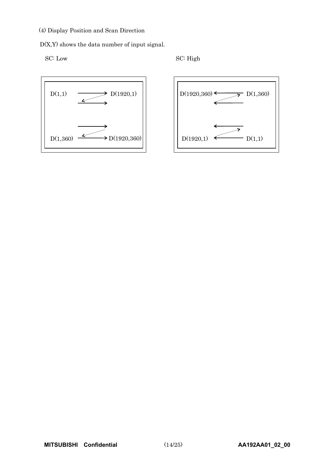(4) Display Position and Scan Direction

D(X,Y) shows the data number of input signal.

SC: Low SC: High



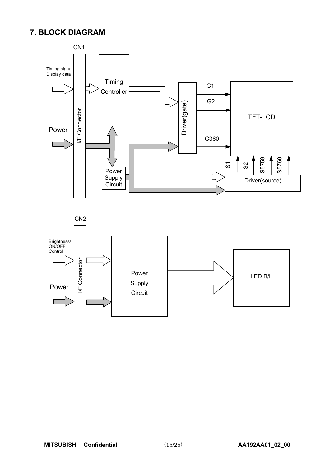## **7. BLOCK DIAGRAM**



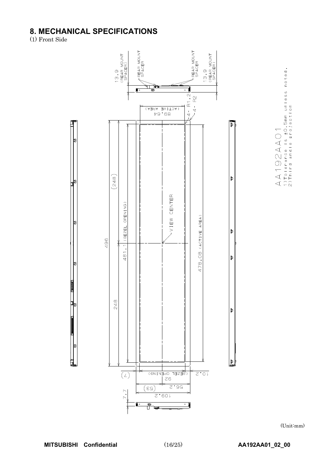## **8. MECHANICAL SPECIFICATIONS**<br>(1) Front Side



 $A$   $A$   $1$   $9$   $2$   $A$   $A$   $0$   $1$ <br> $1$ ) To lerance is  $\pm$ 0. 5mm unless noted.<br>2) Third angle projection

(Unit:mm)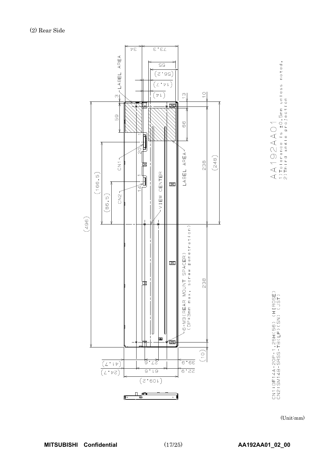



CN1:DF14A-2OP-1,25H(56) (HIROSE)<br>CN2:SM14B-SRSS-TB(LF)(SN) (JST)

(Unit:mm)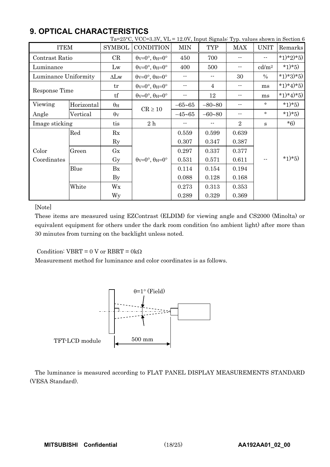|                      |            |                        | Ta=25 $^{\circ}$ C, VCC=3.3V, VL = 12.0V, Input Signals: Typ. values shown in Section 6 |            |                |                            |                        |           |
|----------------------|------------|------------------------|-----------------------------------------------------------------------------------------|------------|----------------|----------------------------|------------------------|-----------|
| <b>ITEM</b>          |            | <b>SYMBOL</b>          | <b>CONDITION</b>                                                                        | <b>MIN</b> | <b>TYP</b>     | <b>MAX</b>                 | <b>UNIT</b>            | Remarks   |
| Contrast Ratio       |            | CR                     | $\theta$ v=0°, $\theta$ H=0°                                                            | 450        | 700            |                            |                        | *1)*2)*5) |
| Luminance            |            | Lw                     | $\theta$ v=0°, $\theta$ H=0°                                                            | 400        | 500            | $\qquad \qquad -$          | $\text{cd}/\text{m}^2$ | $*1)*5)$  |
| Luminance Uniformity |            | $\Delta Lw$            | $\theta$ v=0°, $\theta$ H=0°                                                            | $-$        | $ -$           | 30                         | $\frac{0}{0}$          | *1)*3)*5) |
| Response Time        |            | tr                     | $\theta$ v=0°, $\theta$ H=0°                                                            |            | $\overline{4}$ |                            | ms                     | *1)*4)*5) |
|                      |            | tf                     | $\theta$ v=0°, $\theta$ H=0°                                                            |            | 12             |                            | ms                     | *1)*4)*5) |
| Viewing              | Horizontal | $\theta_H$             |                                                                                         | $-65 - 65$ | $-80 - 80$     |                            | $\circ$                | $*1)*5)$  |
| Angle                | Vertical   | $\theta$ v             | $CR \ge 10$                                                                             | $-45 - 65$ | $-60 - 80$     | $\overline{\phantom{a}}$ . | $\circ$                | $*1)*5)$  |
| Image sticking       |            | tis                    | 2h                                                                                      |            |                | $\overline{2}$             | s                      | $*6)$     |
|                      | Red        | Rx                     |                                                                                         | 0.559      | 0.599          | 0.639                      |                        |           |
|                      |            | $\rm Ry$               |                                                                                         | 0.307      | 0.347          | 0.387                      |                        |           |
| Color                | Green      | Gx                     |                                                                                         | 0.297      | 0.337          | 0.377                      |                        |           |
| Coordinates          |            | Gy                     | $\theta$ v=0°, $\theta$ H=0°                                                            | 0.531      | 0.571          | 0.611                      |                        | $*1)*5)$  |
|                      | Blue       | Bx                     |                                                                                         | 0.114      | 0.154          | 0.194                      |                        |           |
|                      |            | $\mathbf{B}\mathbf{y}$ |                                                                                         | 0.088      | 0.128          | 0.168                      |                        |           |
|                      | White      | Wx                     |                                                                                         | 0.273      | 0.313          | 0.353                      |                        |           |
|                      |            | <b>Wy</b>              |                                                                                         | 0.289      | 0.329          | 0.369                      |                        |           |

## **9. OPTICAL CHARACTERISTICS**

## [Note]

These items are measured using EZContrast (ELDIM) for viewing angle and CS2000 (Minolta) or equivalent equipment for others under the dark room condition (no ambient light) after more than 30 minutes from turning on the backlight unless noted.

Condition:  $VBRT = 0$  V or  $RBRT = 0k\Omega$ 

Measurement method for luminance and color coordinates is as follows.



The luminance is measured according to FLAT PANEL DISPLAY MEASUREMENTS STANDARD (VESA Standard).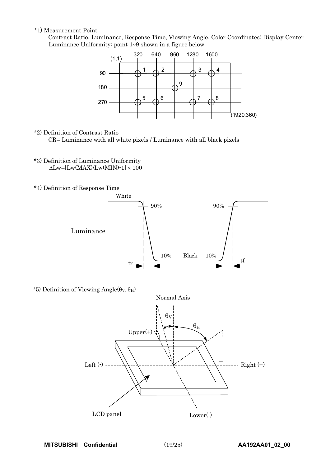#### \*1) Measurement Point

Contrast Ratio, Luminance, Response Time, Viewing Angle, Color Coordinates: Display Center Luminance Uniformity: point  $1-9$  shown in a figure below



\*2) Definition of Contrast Ratio

CR= Luminance with all white pixels / Luminance with all black pixels

- \*3) Definition of Luminance Uniformity  $\Delta$ Lw=[Lw(MAX)/Lw(MIN)-1]  $\times$  100
- \*4) Definition of Response Time



\*5) Definition of Viewing Angle( $\theta$ v,  $\theta$ H)

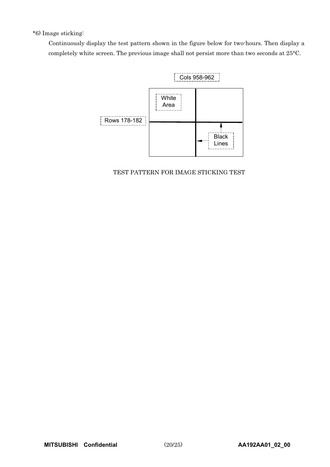## \*6) Image sticking:

Continuously display the test pattern shown in the figure below for two-hours. Then display a completely white screen. The previous image shall not persist more than two seconds at 25°C.



## TEST PATTERN FOR IMAGE STICKING TEST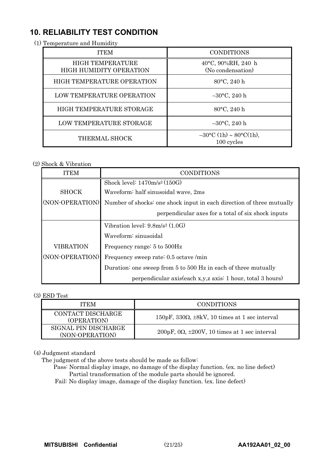## **10. RELIABILITY TEST CONDITION**

(1) Temperature and Humidity

| <b>ITEM</b>                                        | <b>CONDITIONS</b>                       |  |
|----------------------------------------------------|-----------------------------------------|--|
| <b>HIGH TEMPERATURE</b><br>HIGH HUMIDITY OPERATION | 40°C, 90%RH, 240 h<br>(No condensation) |  |
| <b>HIGH TEMPERATURE OPERATION</b>                  | 80°C, 240 h                             |  |
| LOW TEMPERATURE OPERATION                          | $-30$ °C, 240 h                         |  |
| HIGH TEMPERATURE STORAGE                           | $80^{\circ}$ C, 240 h                   |  |
| LOW TEMPERATURE STORAGE                            | $-30$ °C, 240 h                         |  |
| THERMAL SHOCK                                      | $-30$ °C (1h) ~ 80°C(1h),<br>100 cycles |  |

## (2) Shock & Vibration

| <b>ITEM</b>     | <b>CONDITIONS</b>                                                     |  |  |
|-----------------|-----------------------------------------------------------------------|--|--|
|                 | Shock level: $1470 \text{m/s}^2 (150 \text{G})$                       |  |  |
| <b>SHOCK</b>    | Waveform: half sinusoidal wave, 2ms                                   |  |  |
| (NON-OPERATION) | Number of shocks: one shock input in each direction of three mutually |  |  |
|                 | perpendicular axes for a total of six shock inputs                    |  |  |
|                 | Vibration level: $9.8m/s^2$ (1.0G)                                    |  |  |
|                 | Waveform: sinusoidal                                                  |  |  |
| VIBRATION       | Frequency range: 5 to 500Hz                                           |  |  |
| (NON-OPERATION) | Frequency sweep rate: 0.5 octave /min                                 |  |  |
|                 | Duration: one sweep from 5 to 500 Hz in each of three mutually        |  |  |
|                 | perpendicular axis(each x,y,z axis: 1 hour, total 3 hours)            |  |  |

## (3) ESD Test

| ITEM                                    | <b>CONDITIONS</b>                                              |
|-----------------------------------------|----------------------------------------------------------------|
| CONTACT DISCHARGE<br>(OPERATION)        | $150pF$ , $330\Omega$ , $\pm 8kV$ , 10 times at 1 sec interval |
| SIGNAL PIN DISCHARGE<br>(NON-OPERATION) | $200pF$ , $0\Omega$ , $\pm 200V$ , 10 times at 1 sec interval  |

## (4) Judgment standard

The judgment of the above tests should be made as follow:

Pass: Normal display image, no damage of the display function. (ex. no line defect) Partial transformation of the module parts should be ignored.

Fail: No display image, damage of the display function. (ex. line defect)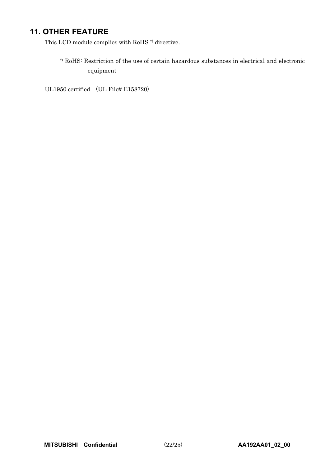## **11. OTHER FEATURE**

This LCD module complies with RoHS  $^\ast$  directive.

\*) RoHS: Restriction of the use of certain hazardous substances in electrical and electronic equipment

UL1950 certified (UL File# E158720)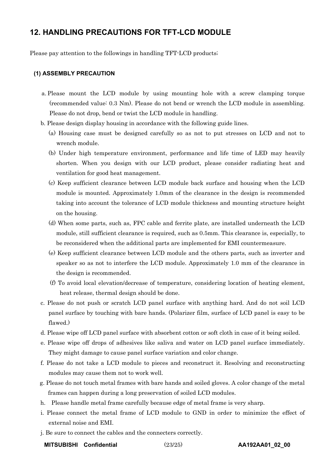## **12. HANDLING PRECAUTIONS FOR TFT-LCD MODULE**

Please pay attention to the followings in handling TFT-LCD products;

#### **(1) ASSEMBLY PRECAUTION**

- a. Please mount the LCD module by using mounting hole with a screw clamping torque (recommended value: 0.3 Nm). Please do not bend or wrench the LCD module in assembling. Please do not drop, bend or twist the LCD module in handling.
- b. Please design display housing in accordance with the following guide lines.
	- (a) Housing case must be designed carefully so as not to put stresses on LCD and not to wrench module.
	- (b) Under high temperature environment, performance and life time of LED may heavily shorten. When you design with our LCD product, please consider radiating heat and ventilation for good heat management.
	- (c) Keep sufficient clearance between LCD module back surface and housing when the LCD module is mounted. Approximately 1.0mm of the clearance in the design is recommended taking into account the tolerance of LCD module thickness and mounting structure height on the housing.
	- (d) When some parts, such as, FPC cable and ferrite plate, are installed underneath the LCD module, still sufficient clearance is required, such as 0.5mm. This clearance is, especially, to be reconsidered when the additional parts are implemented for EMI countermeasure.
	- (e) Keep sufficient clearance between LCD module and the others parts, such as inverter and speaker so as not to interfere the LCD module. Approximately 1.0 mm of the clearance in the design is recommended.
	- (f) To avoid local elevation/decrease of temperature, considering location of heating element, heat release, thermal design should be done.
- c. Please do not push or scratch LCD panel surface with anything hard. And do not soil LCD panel surface by touching with bare hands. (Polarizer film, surface of LCD panel is easy to be flawed.)
- d. Please wipe off LCD panel surface with absorbent cotton or soft cloth in case of it being soiled.
- e. Please wipe off drops of adhesives like saliva and water on LCD panel surface immediately. They might damage to cause panel surface variation and color change.
- f. Please do not take a LCD module to pieces and reconstruct it. Resolving and reconstructing modules may cause them not to work well.
- g. Please do not touch metal frames with bare hands and soiled gloves. A color change of the metal frames can happen during a long preservation of soiled LCD modules.
- h. Please handle metal frame carefully because edge of metal frame is very sharp.
- i. Please connect the metal frame of LCD module to GND in order to minimize the effect of external noise and EMI.
- j. Be sure to connect the cables and the connecters correctly.
	- **MITSUBISHI Confidential** (23/25) **AA192AA01\_02\_00**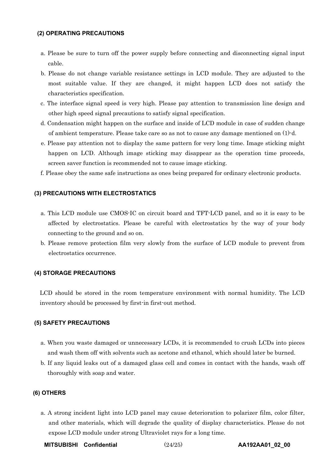#### **(2) OPERATING PRECAUTIONS**

- a. Please be sure to turn off the power supply before connecting and disconnecting signal input cable.
- b. Please do not change variable resistance settings in LCD module. They are adjusted to the most suitable value. If they are changed, it might happen LCD does not satisfy the characteristics specification.
- c. The interface signal speed is very high. Please pay attention to transmission line design and other high speed signal precautions to satisfy signal specification.
- d. Condensation might happen on the surface and inside of LCD module in case of sudden change of ambient temperature. Please take care so as not to cause any damage mentioned on (1)-d.
- e. Please pay attention not to display the same pattern for very long time. Image sticking might happen on LCD. Although image sticking may disappear as the operation time proceeds, screen saver function is recommended not to cause image sticking.
- f. Please obey the same safe instructions as ones being prepared for ordinary electronic products.

#### **(3) PRECAUTIONS WITH ELECTROSTATICS**

- a. This LCD module use CMOS-IC on circuit board and TFT-LCD panel, and so it is easy to be affected by electrostatics. Please be careful with electrostatics by the way of your body connecting to the ground and so on.
- b. Please remove protection film very slowly from the surface of LCD module to prevent from electrostatics occurrence.

#### **(4) STORAGE PRECAUTIONS**

LCD should be stored in the room temperature environment with normal humidity. The LCD inventory should be processed by first-in first-out method.

#### **(5) SAFETY PRECAUTIONS**

- a. When you waste damaged or unnecessary LCDs, it is recommended to crush LCDs into pieces and wash them off with solvents such as acetone and ethanol, which should later be burned.
- b. If any liquid leaks out of a damaged glass cell and comes in contact with the hands, wash off thoroughly with soap and water.

#### **(6) OTHERS**

a. A strong incident light into LCD panel may cause deterioration to polarizer film, color filter, and other materials, which will degrade the quality of display characteristics. Please do not expose LCD module under strong Ultraviolet rays for a long time.

**MITSUBISHI Confidential** (24/25) **AA192AA01\_02\_00**